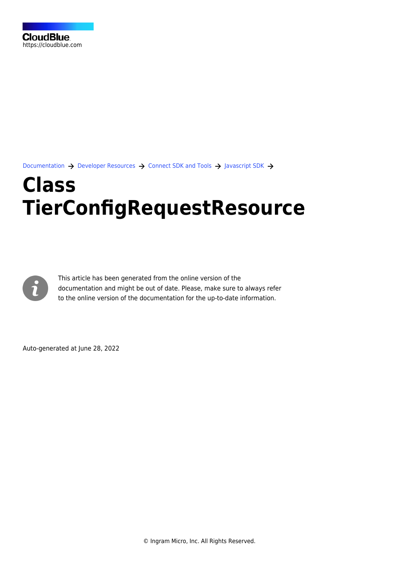[Documentation](https://connect.cloudblue.com/documentation)  $\rightarrow$  [Developer Resources](https://connect.cloudblue.com/community/developers/)  $\rightarrow$  [Connect SDK and Tools](https://connect.cloudblue.com/community/developers/sdk/)  $\rightarrow$  [Javascript SDK](https://connect.cloudblue.com/community/developers/sdk/javascript-sdk/)  $\rightarrow$ 

# **[Class](https://connect.cloudblue.com/community/developers/sdk/javascript-sdk/class-tierconfigrequestresource/) [TierConfigRequestResource](https://connect.cloudblue.com/community/developers/sdk/javascript-sdk/class-tierconfigrequestresource/)**



This article has been generated from the online version of the documentation and might be out of date. Please, make sure to always refer to the online version of the documentation for the up-to-date information.

Auto-generated at June 28, 2022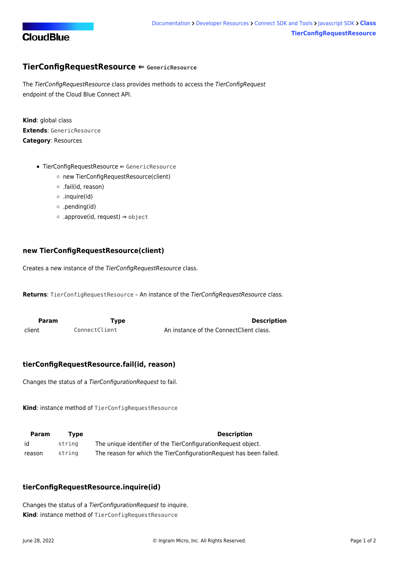

# <span id="page-1-0"></span>**TierConfigRequestResource ⇐ GenericResource**

The TierConfigRequestResource class provides methods to access the TierConfigRequest endpoint of the Cloud Blue Connect API.

**Kind**: global class **Extends**: GenericResource **Category**: Resources

- [TierConfigRequestResource](#page-1-0) ⇐ GenericResource
	- [new TierConfigRequestResource\(client\)](#page-1-1)
	- [.fail\(id, reason\)](#page-1-2)
	- [.inquire\(id\)](#page-1-3)
	- [.pending\(id\)](#page-2-0)
	- [.approve\(id, request\)](#page-2-1) ⇒ object

#### <span id="page-1-1"></span>**new TierConfigRequestResource(client)**

Creates a new instance of the TierConfigRequestResource class.

**Returns**: [TierConfigRequestResource](#page-1-0) – An instance of the TierConfigRequestResource class.

<span id="page-1-2"></span>

| <b>Param</b> | Type          | <b>Description</b>                      |
|--------------|---------------|-----------------------------------------|
| client       | ConnectClient | An instance of the ConnectClient class. |

# **tierConfigRequestResource.fail(id, reason)**

Changes the status of a TierConfigurationRequest to fail.

**Kind**: instance method of [TierConfigRequestResource](#page-1-0)

| <b>Param</b> | Tvpe   | <b>Description</b>                                                 |
|--------------|--------|--------------------------------------------------------------------|
| id           | strina | The unique identifier of the TierConfigurationRequest object.      |
| reason       | strina | The reason for which the TierConfigurationRequest has been failed. |

# <span id="page-1-3"></span>**tierConfigRequestResource.inquire(id)**

Changes the status of a TierConfigurationRequest to inquire. **Kind**: instance method of [TierConfigRequestResource](#page-1-0)